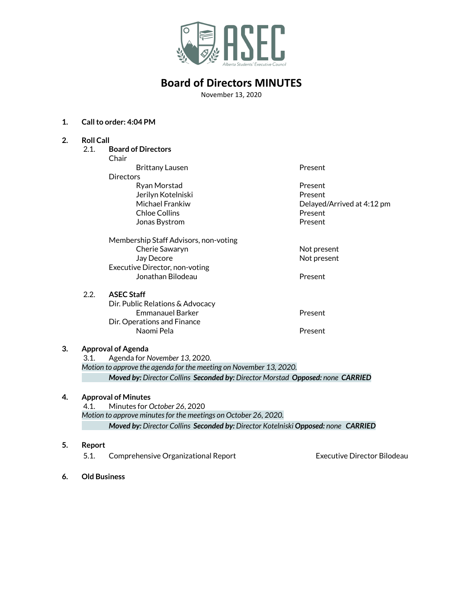

November 13, 2020

#### **1. Callto order: 4:04 PM**

#### **2. Roll Call**

| 2.1. | <b>Board of Directors</b>             |                            |
|------|---------------------------------------|----------------------------|
|      | Chair                                 |                            |
|      | Brittany Lausen                       | Present                    |
|      | <b>Directors</b>                      |                            |
|      | Ryan Morstad                          | Present                    |
|      | Jerilyn Kotelniski                    | Present                    |
|      | Michael Frankiw                       | Delayed/Arrived at 4:12 pm |
|      | <b>Chloe Collins</b>                  | Present                    |
|      |                                       | Present                    |
|      | Jonas Bystrom                         |                            |
|      | Membership Staff Advisors, non-voting |                            |
|      | Cherie Sawaryn                        | Not present                |
|      | Jay Decore                            | Not present                |
|      | Executive Director, non-voting        |                            |
|      | Jonathan Bilodeau                     | Present                    |
|      |                                       |                            |
| 2.2. | <b>ASEC Staff</b>                     |                            |
|      | Dir. Public Relations & Advocacy      |                            |
|      | <b>Emmanauel Barker</b>               | Present                    |
|      | Dir. Operations and Finance           |                            |
|      | Naomi Pela                            | Present                    |
|      |                                       |                            |
|      |                                       |                            |

### **3. Approval of Agenda**

3.1. Agenda for *November 13*, 2020. *Motion to approve the agenda for the meeting on November 13, 2020. Moved by: Director Collins Seconded by: Director Morstad Opposed: none CARRIED*

#### **4. Approval of Minutes**

4.1. Minutes for *October 26*, 2020 *Motion to approve minutesfor the meetings on October 26, 2020. Moved by: Director Collins Seconded by: Director Kotelniski Opposed: none CARRIED*

#### **5. Report**

5.1. Comprehensive Organizational Report Executive Director Bilodeau

**6. Old Business**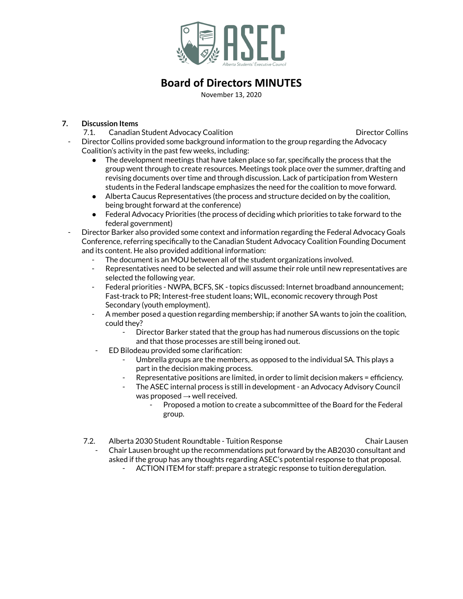

November 13, 2020

### **7. Discussion Items**

7.1. Canadian Student Advocacy Coalition **Communist Construction** Director Collins

- Director Collins provided some background information to the group regarding the Advocacy Coalition's activity in the past few weeks, including:
	- The development meetings that have taken place so far, specifically the process that the group went through to create resources. Meetings took place over the summer, drafting and revising documents over time and through discussion. Lack of participation from Western students in the Federal landscape emphasizes the need for the coalition to move forward.
	- Alberta Caucus Representatives (the process and structure decided on by the coalition, being brought forward at the conference)
	- Federal Advocacy Priorities (the process of deciding which priorities to take forward to the federal government)
- Director Barker also provided some context and information regarding the Federal Advocacy Goals Conference, referring specifically to the Canadian Student Advocacy Coalition Founding Document and its content. He also provided additional information:
	- The document is an MOU between all of the student organizations involved.
	- Representatives need to be selected and will assume their role until new representatives are selected the following year.
	- Federal priorities NWPA, BCFS, SK topics discussed: Internet broadband announcement; Fast-track to PR; Interest-free student loans; WIL, economic recovery through Post Secondary (youth employment).
	- A member posed a question regarding membership; if another SA wants to join the coalition, could they?
		- Director Barker stated that the group has had numerous discussions on the topic and that those processes are still being ironed out.
	- ED Bilodeau provided some clarification:
		- Umbrella groups are the members, as opposed to the individual SA. This plays a part in the decision making process.
		- Representative positions are limited, in order to limit decision makers = efficiency.
		- The ASEC internal process is still in development an Advocacy Advisory Council was proposed  $\rightarrow$  well received.
			- Proposed a motion to create a subcommittee of the Board for the Federal group.
	- 7.2. Alberta 2030 Student Roundtable Tuition Response Chair Lausen - Chair Lausen brought up the recommendations put forward by the AB2030 consultant and asked if the group has any thoughts regarding ASEC's potential response to that proposal.
		- ACTION ITEM for staff: prepare a strategic response to tuition deregulation.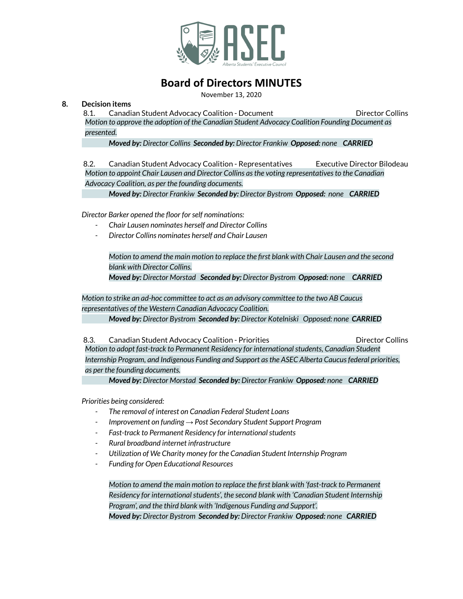

November 13, 2020

### **8. Decision items**

8.1. Canadian Student Advocacy Coalition - Document **Director Colling** Director Collins

*Motion to approve the adoption of the Canadian Student Advocacy Coalition Founding Document as presented.*

*Moved by: Director Collins Seconded by: Director Frankiw Opposed: none CARRIED*

8.2. Canadian Student Advocacy Coalition - Representatives Executive Director Bilodeau *Motion to appoint Chair Lausen and Director Collins asthe voting representativesto the Canadian Advocacy Coalition, as per the founding documents.*

*Moved by: Director Frankiw Seconded by: Director Bystrom Opposed: none CARRIED*

*Director Barker opened the floor forself nominations:*

- *- Chair Lausen nominates herself and Director Collins*
- *- Director Collins nominates herself and Chair Lausen*

*Motion to amend the main motion to replace the first blank with Chair Lausen and the second blank with Director Collins.*

*Moved by: Director Morstad Seconded by: Director Bystrom Opposed: none CARRIED*

*Motion to strike an ad-hoc committee to act as an advisory committee to the two AB Caucus representatives of the Western Canadian Advocacy Coalition.*

*Moved by: Director Bystrom Seconded by: Director Kotelniski Opposed: none CARRIED*

8.3. Canadian Student Advocacy Coalition - Priorities **Bilgen Colling Contact Colling** *Motion to adopt fast-track to Permanent Residency for internationalstudents, Canadian Student Internship Program, and Indigenous Funding and Support asthe ASEC Alberta Caucusfederal priorities, as per the founding documents.*

*Moved by: Director Morstad Seconded by: Director Frankiw Opposed: none CARRIED*

*Priorities being considered:*

- *- The removal of interest on Canadian Federal Student Loans*
- *- Improvement on funding → Post Secondary Student Support Program*
- *- Fast-track to Permanent Residency for internationalstudents*
- *- Rural broadband internet infrastructure*
- *- Utilization of We Charity money for the Canadian Student Internship Program*
- *- Funding for Open Educational Resources*

*Motion to amend the main motion to replace the first blank with 'fast-track to Permanent Residency for internationalstudents', the second blank with 'Canadian Student Internship Program', and the third blank with 'Indigenous Funding and Support'.*

*Moved by: Director Bystrom Seconded by: Director Frankiw Opposed: none CARRIED*